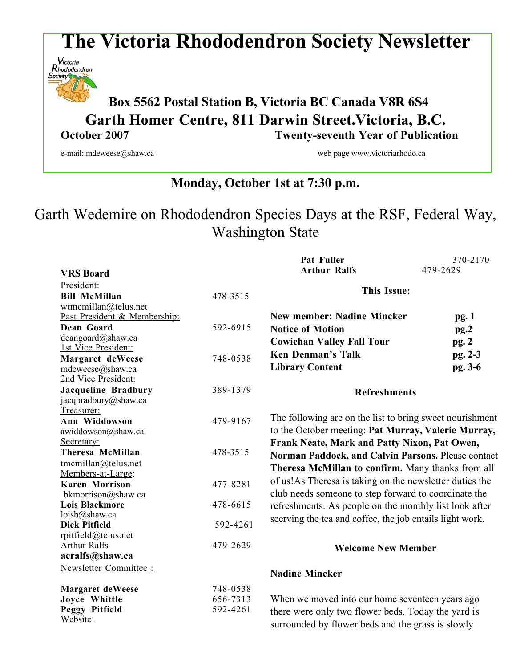# **The Victoria Rhododendron Society Newsletter**



## **Box <sup>5562</sup> Postal Station B, Victoria BC Canada V8R 6S4 Garth Homer Centre, 811 Darwin Street.Victoria, B.C. October 2007 Twenty-seventh Year of Publication**

e-mail: mdeweese@shaw.ca web page www.victoriarhodo.ca

### **Monday, October 1st at 7:30 p.m.**

# Garth Wedemire on Rhododendron Species Days at the RSF, Federal Way, Washington State

|                              |          | Pat Fuller                                               | 370-2170 |
|------------------------------|----------|----------------------------------------------------------|----------|
| <b>VRS</b> Board             |          | <b>Arthur Ralfs</b>                                      | 479-2629 |
| President:                   |          |                                                          |          |
| <b>Bill McMillan</b>         | 478-3515 | <b>This Issue:</b>                                       |          |
| wtmcmillan@telus.net         |          |                                                          |          |
| Past President & Membership: |          | <b>New member: Nadine Mincker</b>                        | pg.1     |
| Dean Goard                   | 592-6915 | <b>Notice of Motion</b>                                  | pg.2     |
| deangoard@shaw.ca            |          | <b>Cowichan Valley Fall Tour</b>                         |          |
| 1st Vice President:          |          |                                                          | pg.2     |
| Margaret deWeese             | 748-0538 | <b>Ken Denman's Talk</b>                                 | pg. 2-3  |
| mdeweese@shaw.ca             |          | <b>Library Content</b>                                   | pg. 3-6  |
| 2nd Vice President:          |          |                                                          |          |
| <b>Jacqueline Bradbury</b>   | 389-1379 | <b>Refreshments</b>                                      |          |
| jacqbradbury@shaw.ca         |          |                                                          |          |
| Treasurer:                   |          |                                                          |          |
| Ann Widdowson                | 479-9167 | The following are on the list to bring sweet nourishment |          |
| awiddowson@shaw.ca           |          | to the October meeting: Pat Murray, Valerie Murray,      |          |
| Secretary:                   |          | Frank Neate, Mark and Patty Nixon, Pat Owen,             |          |
| Theresa McMillan             | 478-3515 | Norman Paddock, and Calvin Parsons. Please contact       |          |
| tmcmillan@telus.net          |          | Theresa McMillan to confirm. Many thanks from all        |          |
| Members-at-Large:            |          |                                                          |          |
| <b>Karen Morrison</b>        | 477-8281 | of us! As Theresa is taking on the newsletter duties the |          |
| bkmorrison@shaw.ca           |          | club needs someone to step forward to coordinate the     |          |
| <b>Lois Blackmore</b>        | 478-6615 | refreshments. As people on the monthly list look after   |          |
| loisb@shaw.ca                |          | seerving the tea and coffee, the job entails light work. |          |
| <b>Dick Pitfield</b>         | 592-4261 |                                                          |          |
| rpitfield@telus.net          |          |                                                          |          |
| <b>Arthur Ralfs</b>          | 479-2629 | <b>Welcome New Member</b>                                |          |
| acralfs@shaw.ca              |          |                                                          |          |
| Newsletter Committee :       |          | <b>Nadine Mincker</b>                                    |          |
|                              |          |                                                          |          |
| <b>Margaret deWeese</b>      | 748-0538 |                                                          |          |
| Joyce Whittle                | 656-7313 | When we moved into our home seventeen years ago          |          |
| Peggy Pitfield               | 592-4261 | there were only two flower beds. Today the yard is       |          |
| Website                      |          | surrounded by flower beds and the grass is slowly        |          |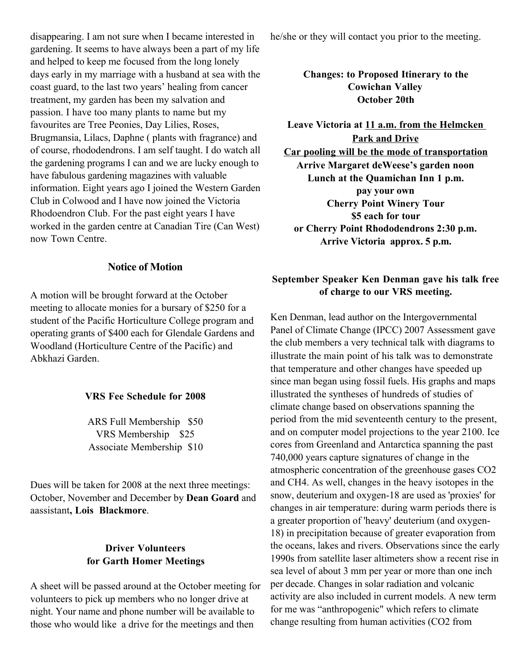disappearing. I am not sure when I became interested in gardening. It seems to have always been a part of my life and helped to keep me focused from the long lonely days early in my marriage with a husband at sea with the coast guard, to the last two years' healing from cancer treatment, my garden has been my salvation and passion. I have too many plants to name but my favourites are Tree Peonies, Day Lilies, Roses, Brugmansia, Lilacs, Daphne ( plants with fragrance) and of course, rhododendrons. I am self taught. I do watch all the gardening programs I can and we are lucky enough to have fabulous gardening magazines with valuable information. Eight years ago I joined the Western Garden Club in Colwood and I have now joined the Victoria Rhodoendron Club. For the past eight years I have worked in the garden centre at Canadian Tire (Can West) now Town Centre.

#### **Notice of Motion**

A motion will be brought forward at the October meeting to allocate monies for a bursary of \$250 for a student of the Pacific Horticulture College program and operating grants of \$400 each for Glendale Gardens and Woodland (Horticulture Centre of the Pacific) and Abkhazi Garden.

#### **VRS Fee Schedule for 2008**

ARS Full Membership \$50 VRS Membership \$25 Associate Membership \$10

Dues will be taken for 2008 at the next three meetings: October, November and December by **Dean Goard** and aassistant**, Lois Blackmore**.

#### **Driver Volunteers for Garth Homer Meetings**

A sheet will be passed around at the October meeting for volunteers to pick up members who no longer drive at night. Your name and phone number will be available to those who would like a drive for the meetings and then

he/she or they will contact you prior to the meeting.

**Changes: to Proposed Itinerary to the Cowichan Valley October 20th**

**Leave Victoria at 11 a.m. from the Helmcken Park and Drive Car pooling will be the mode of transportation Arrive Margaret deWeese's garden noon Lunch at the Quamichan Inn 1 p.m. pay your own Cherry Point Winery Tour \$5 each for tour or Cherry Point Rhododendrons 2:30 p.m. Arrive Victoria approx. 5 p.m.**

#### **September Speaker Ken Denman gave his talk free of charge to our VRS meeting.**

Ken Denman, lead author on the Intergovernmental Panel of Climate Change (IPCC) 2007 Assessment gave the club members a very technical talk with diagrams to illustrate the main point of his talk was to demonstrate that temperature and other changes have speeded up since man began using fossil fuels. His graphs and maps illustrated the syntheses of hundreds of studies of climate change based on observations spanning the period from the mid seventeenth century to the present, and on computer model projections to the year 2100. Ice cores from Greenland and Antarctica spanning the past 740,000 years capture signatures of change in the atmospheric concentration of the greenhouse gases CO2 and CH4. As well, changes in the heavy isotopes in the snow, deuterium and oxygen-18 are used as 'proxies' for changes in air temperature: during warm periods there is a greater proportion of 'heavy' deuterium (and oxygen-18) in precipitation because of greater evaporation from the oceans, lakes and rivers. Observations since the early 1990s from satellite laser altimeters show a recent rise in sea level of about 3 mm per year or more than one inch per decade. Changes in solar radiation and volcanic activity are also included in current models. A new term for me was "anthropogenic" which refers to climate change resulting from human activities (CO2 from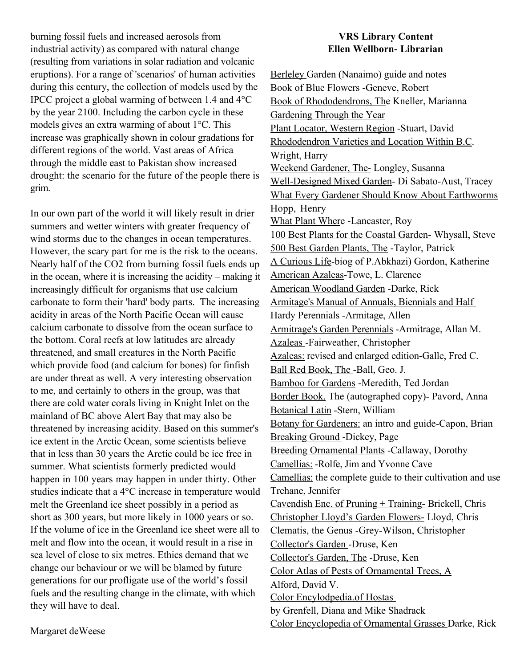burning fossil fuels and increased aerosols from industrial activity) as compared with natural change (resulting from variations in solar radiation and volcanic eruptions). For a range of 'scenarios' of human activities during this century, the collection of models used by the IPCC project a global warming of between 1.4 and 4°C by the year 2100. Including the carbon cycle in these models gives an extra warming of about 1°C. This increase was graphically shown in colour gradations for different regions of the world. Vast areas of Africa through the middle east to Pakistan show increased drought: the scenario for the future of the people there is grim.

In our own part of the world it will likely result in drier summers and wetter winters with greater frequency of wind storms due to the changes in ocean temperatures. However, the scary part for me is the risk to the oceans. Nearly half of the CO2 from burning fossil fuels ends up in the ocean, where it is increasing the acidity – making it increasingly difficult for organisms that use calcium carbonate to form their 'hard' body parts. The increasing acidity in areas of the North Pacific Ocean will cause calcium carbonate to dissolve from the ocean surface to the bottom. Coral reefs at low latitudes are already threatened, and small creatures in the North Pacific which provide food (and calcium for bones) for finfish are under threat as well. A very interesting observation to me, and certainly to others in the group, was that there are cold water corals living in Knight Inlet on the mainland of BC above Alert Bay that may also be threatened by increasing acidity. Based on this summer's ice extent in the Arctic Ocean, some scientists believe that in less than 30 years the Arctic could be ice free in summer. What scientists formerly predicted would happen in 100 years may happen in under thirty. Other studies indicate that a 4°C increase in temperature would melt the Greenland ice sheet possibly in a period as short as 300 years, but more likely in 1000 years or so. If the volume of ice in the Greenland ice sheet were all to melt and flow into the ocean, it would result in a rise in sea level of close to six metres. Ethics demand that we change our behaviour or we will be blamed by future generations for our profligate use of the world's fossil fuels and the resulting change in the climate, with which they will have to deal.

#### **VRS Library Content Ellen Wellborn- Librarian**

Berleley Garden (Nanaimo) guide and notes Book of Blue Flowers -Geneve, Robert Book of Rhododendrons, The Kneller, Marianna Gardening Through the Year Plant Locator, Western Region -Stuart, David Rhododendron Varieties and Location Within B.C. Wright, Harry Weekend Gardener, The- Longley, Susanna Well-Designed Mixed Garden- Di Sabato-Aust, Tracey What Every Gardener Should Know About Earthworms Hopp, Henry What Plant Where -Lancaster, Roy 100 Best Plants for the Coastal Garden- Whysall, Steve 500 Best Garden Plants, The -Taylor, Patrick A Curious Life-biog of P.Abkhazi) Gordon, Katherine American Azaleas-Towe, L. Clarence American Woodland Garden -Darke, Rick Armitage's Manual of Annuals, Biennials and Half Hardy Perennials -Armitage, Allen Armitrage's Garden Perennials -Armitrage, Allan M. Azaleas -Fairweather, Christopher Azaleas: revised and enlarged edition-Galle, Fred C. Ball Red Book, The -Ball, Geo. J. Bamboo for Gardens -Meredith, Ted Jordan Border Book, The (autographed copy)- Pavord, Anna Botanical Latin -Stern, William Botany for Gardeners: an intro and guide-Capon, Brian Breaking Ground -Dickey, Page Breeding Ornamental Plants -Callaway, Dorothy Camellias: -Rolfe, Jim and Yvonne Cave Camellias: the complete guide to their cultivation and use Trehane, Jennifer Cavendish Enc. of Pruning + Training- Brickell, Chris Christopher Lloyd's Garden Flowers- Lloyd, Chris Clematis, the Genus -Grey-Wilson, Christopher Collector's Garden -Druse, Ken Collector's Garden, The -Druse, Ken Color Atlas of Pests of Ornamental Trees, A Alford, David V. Color Encylodpedia.of Hostas by Grenfell, Diana and Mike Shadrack Color Encyclopedia of Ornamental Grasses Darke, Rick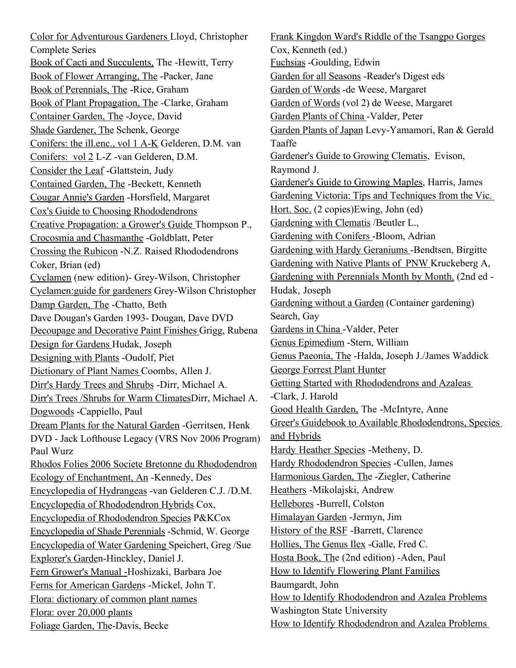Color for Adventurous Gardeners Lloyd, Christopher Complete Series Book of Cacti and Succulents, The -Hewitt, Terry Book of Flower Arranging, The -Packer, Jane Book of Perennials, The -Rice, Graham Book of Plant Propagation, The -Clarke, Graham Container Garden, The -Joyce, David Shade Gardener, The Schenk, George Conifers: the ill.enc., vol 1 A-K Gelderen, D.M. van Conifers: vol 2 L-Z -van Gelderen, D.M. Consider the Leaf -Glattstein, Judy Contained Garden, The -Beckett, Kenneth Cougar Annie's Garden -Horsfield, Margaret Cox's Guide to Choosing Rhododendrons Creative Propagation: a Grower's Guide Thompson P., Crocosmia and Chasmanthe -Goldblatt, Peter Crossing the Rubicon -N.Z. Raised Rhododendrons Coker, Brian (ed) Cyclamen (new edition)- Grey-Wilson, Christopher Cyclamen:guide for gardeners Grey-Wilson Christopher Damp Garden, The -Chatto, Beth Dave Dougan's Garden 1993- Dougan, Dave DVD Decoupage and Decorative Paint Finishes Grigg, Rubena Design for Gardens Hudak, Joseph Designing with Plants -Oudolf, Piet Dictionary of Plant Names Coombs, Allen J. Dirr's Hardy Trees and Shrubs -Dirr, Michael A. Dirr's Trees /Shrubs for Warm ClimatesDirr, Michael A. Dogwoods -Cappiello, Paul Dream Plants for the Natural Garden -Gerritsen, Henk DVD - Jack Lofthouse Legacy (VRS Nov 2006 Program) Paul Wurz Rhodos Folies 2006 Societe Bretonne du Rhododendron Ecology of Enchantment, An -Kennedy, Des Encyclopedia of Hydrangeas -van Gelderen C.J. /D.M. Encyclopedia of Rhododendron Hybrids Cox, Encyclopedia of Rhododendron Species P&KCox Encyclopedia of Shade Perennials -Schmid, W. George Encyclopedia of Water Gardening Speichert, Greg /Sue Explorer's Garden-Hinckley, Daniel J. Fern Grower's Manual -Hoshizaki, Barbara Joe Ferns for American Gardens -Mickel, John T. Flora: dictionary of common plant names Flora: over 20,000 plants Foliage Garden, The-Davis, Becke

Frank Kingdon Ward's Riddle of the Tsangpo Gorges Cox, Kenneth (ed.) Fuchsias -Goulding, Edwin Garden for all Seasons -Reader's Digest eds Garden of Words -de Weese, Margaret Garden of Words (vol 2) de Weese, Margaret Garden Plants of China -Valder, Peter Garden Plants of Japan Levy-Yamamori, Ran & Gerald Taaffe Gardener's Guide to Growing Clematis, Evison, Raymond J. Gardener's Guide to Growing Maples, Harris, James Gardening Victoria: Tips and Techniques from the Vic. Hort. Soc. (2 copies)Ewing, John (ed) Gardening with Clematis /Beutler L., Gardening with Conifers -Bloom, Adrian Gardening with Hardy Geraniums -Bendtsen, Birgitte Gardening with Native Plants of PNW Kruckeberg A, Gardening with Perennials Month by Month. (2nd ed - Hudak, Joseph Gardening without a Garden (Container gardening) Search, Gay Gardens in China -Valder, Peter Genus Epimedium -Stern, William Genus Paeonia, The -Halda, Joseph J./James Waddick George Forrest Plant Hunter Getting Started with Rhododendrons and Azaleas -Clark, J. Harold Good Health Garden, The -McIntyre, Anne Greer's Guidebook to Available Rhododendrons, Species and Hybrids Hardy Heather Species -Metheny, D. Hardy Rhododendron Species -Cullen, James Harmonious Garden, The -Ziegler, Catherine Heathers -Mikolajski, Andrew Hellebores -Burrell, Colston Himalayan Garden -Jermyn, Jim History of the RSF -Barrett, Clarence Hollies, The Genus Ilex -Galle, Fred C. Hosta Book, The (2nd edition) -Aden, Paul How to Identify Flowering Plant Families Baumgardt, John How to Identify Rhododendron and Azalea Problems Washington State University How to Identify Rhododendron and Azalea Problems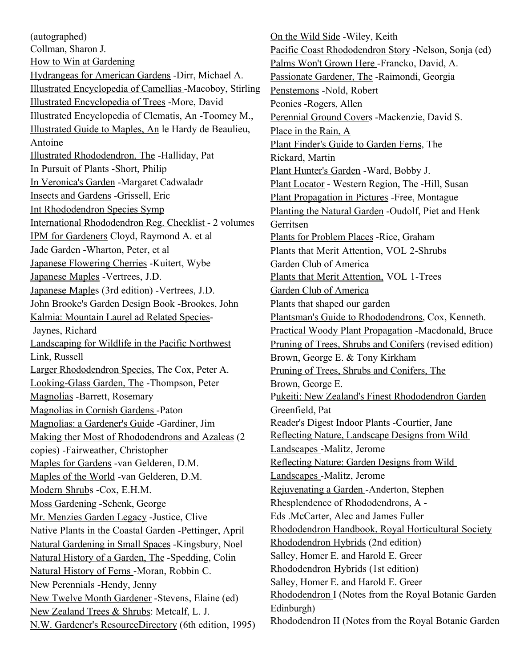(autographed) Collman, Sharon J. How to Win at Gardening Hydrangeas for American Gardens -Dirr, Michael A. Illustrated Encyclopedia of Camellias -Macoboy, Stirling Illustrated Encyclopedia of Trees -More, David Illustrated Encyclopedia of Clematis, An -Toomey M., Illustrated Guide to Maples, An le Hardy de Beaulieu, Antoine Illustrated Rhododendron, The -Halliday, Pat In Pursuit of Plants -Short, Philip In Veronica's Garden -Margaret Cadwaladr Insects and Gardens -Grissell, Eric Int Rhododendron Species Symp International Rhododendron Reg. Checklist - 2 volumes IPM for Gardeners Cloyd, Raymond A. et al Jade Garden -Wharton, Peter, et al Japanese Flowering Cherries -Kuitert, Wybe Japanese Maples -Vertrees, J.D. Japanese Maples (3rd edition) -Vertrees, J.D. John Brooke's Garden Design Book -Brookes, John Kalmia: Mountain Laurel ad Related Species- Jaynes, Richard Landscaping for Wildlife in the Pacific Northwest Link, Russell Larger Rhododendron Species, The Cox, Peter A. Looking-Glass Garden, The -Thompson, Peter Magnolias -Barrett, Rosemary Magnolias in Cornish Gardens -Paton Magnolias: a Gardener's Guide -Gardiner, Jim Making ther Most of Rhododendrons and Azaleas (2 copies) -Fairweather, Christopher Maples for Gardens -van Gelderen, D.M. Maples of the World -van Gelderen, D.M. Modern Shrubs -Cox, E.H.M. Moss Gardening -Schenk, George Mr. Menzies Garden Legacy -Justice, Clive Native Plants in the Coastal Garden -Pettinger, April Natural Gardening in Small Spaces -Kingsbury, Noel Natural History of a Garden, The -Spedding, Colin Natural History of Ferns -Moran, Robbin C. New Perennials -Hendy, Jenny New Twelve Month Gardener -Stevens, Elaine (ed) New Zealand Trees & Shrubs: Metcalf, L. J. N.W. Gardener's ResourceDirectory (6th edition, 1995)

On the Wild Side -Wiley, Keith Pacific Coast Rhododendron Story -Nelson, Sonja (ed) Palms Won't Grown Here -Francko, David, A. Passionate Gardener, The -Raimondi, Georgia Penstemons -Nold, Robert Peonies -Rogers, Allen Perennial Ground Covers -Mackenzie, David S. Place in the Rain, A Plant Finder's Guide to Garden Ferns, The Rickard, Martin Plant Hunter's Garden -Ward, Bobby J. Plant Locator - Western Region, The -Hill, Susan Plant Propagation in Pictures -Free, Montague Planting the Natural Garden -Oudolf, Piet and Henk Gerritsen Plants for Problem Places -Rice, Graham Plants that Merit Attention, VOL 2-Shrubs Garden Club of America Plants that Merit Attention, VOL 1-Trees Garden Club of America Plants that shaped our garden Plantsman's Guide to Rhododendrons, Cox, Kenneth. Practical Woody Plant Propagation -Macdonald, Bruce Pruning of Trees, Shrubs and Conifers (revised edition) Brown, George E. & Tony Kirkham Pruning of Trees, Shrubs and Conifers, The Brown, George E. Pukeiti: New Zealand's Finest Rhododendron Garden Greenfield, Pat Reader's Digest Indoor Plants -Courtier, Jane Reflecting Nature, Landscape Designs from Wild Landscapes -Malitz, Jerome Reflecting Nature: Garden Designs from Wild Landscapes -Malitz, Jerome Rejuvenating a Garden -Anderton, Stephen Rhesplendence of Rhododendrons, A - Eds .McCarter, Alec and James Fuller Rhododendron Handbook, Royal Horticultural Society Rhododendron Hybrids (2nd edition) Salley, Homer E. and Harold E. Greer Rhododendron Hybrids (1st edition) Salley, Homer E. and Harold E. Greer Rhododendron I (Notes from the Royal Botanic Garden Edinburgh) Rhododendron II (Notes from the Royal Botanic Garden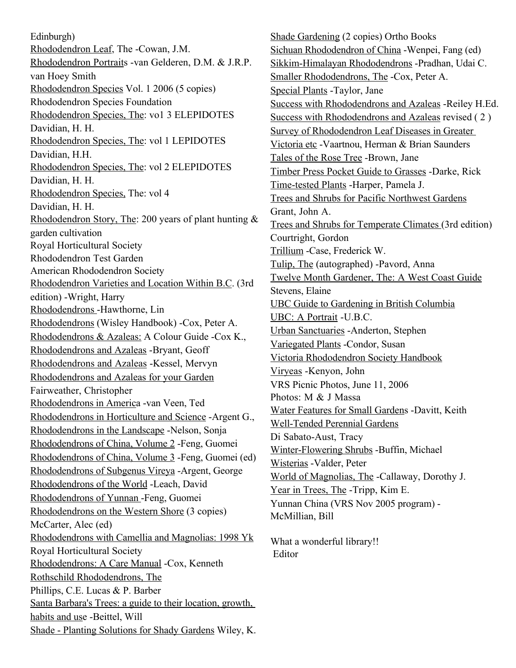Edinburgh) Rhododendron Leaf, The -Cowan, J.M. Rhododendron Portraits -van Gelderen, D.M. & J.R.P. van Hoey Smith Rhododendron Species Vol. 1 2006 (5 copies) Rhododendron Species Foundation Rhododendron Species, The: vo1 3 ELEPIDOTES Davidian, H. H. Rhododendron Species, The: vol 1 LEPIDOTES Davidian, H.H. Rhododendron Species, The: vol 2 ELEPIDOTES Davidian, H. H. Rhododendron Species, The: vol 4 Davidian, H. H. Rhododendron Story, The: 200 years of plant hunting & garden cultivation Royal Horticultural Society Rhododendron Test Garden American Rhododendron Society Rhododendron Varieties and Location Within B.C. (3rd edition) -Wright, Harry Rhododendrons -Hawthorne, Lin Rhododendrons (Wisley Handbook) -Cox, Peter A. Rhododendrons & Azaleas: A Colour Guide -Cox K., Rhododendrons and Azaleas -Bryant, Geoff Rhododendrons and Azaleas -Kessel, Mervyn Rhododendrons and Azaleas for your Garden Fairweather, Christopher Rhododendrons in America -van Veen, Ted Rhododendrons in Horticulture and Science -Argent G., Rhododendrons in the Landscape -Nelson, Sonja Rhododendrons of China, Volume 2 -Feng, Guomei Rhododendrons of China, Volume 3 -Feng, Guomei (ed) Rhododendrons of Subgenus Vireya -Argent, George Rhododendrons of the World -Leach, David Rhododendrons of Yunnan -Feng, Guomei Rhododendrons on the Western Shore (3 copies) McCarter, Alec (ed) Rhododendrons with Camellia and Magnolias: 1998 Yk Royal Horticultural Society Rhododendrons: A Care Manual -Cox, Kenneth Rothschild Rhododendrons, The Phillips, C.E. Lucas & P. Barber Santa Barbara's Trees: a guide to their location, growth, habits and use -Beittel, Will Shade - Planting Solutions for Shady Gardens Wiley, K.

Shade Gardening (2 copies) Ortho Books Sichuan Rhododendron of China -Wenpei, Fang (ed) Sikkim-Himalayan Rhododendrons -Pradhan, Udai C. Smaller Rhododendrons, The -Cox, Peter A. Special Plants -Taylor, Jane Success with Rhododendrons and Azaleas -Reiley H.Ed. Success with Rhododendrons and Azaleas revised ( 2 ) Survey of Rhododendron Leaf Diseases in Greater Victoria etc -Vaartnou, Herman & Brian Saunders Tales of the Rose Tree -Brown, Jane Timber Press Pocket Guide to Grasses -Darke, Rick Time-tested Plants -Harper, Pamela J. Trees and Shrubs for Pacific Northwest Gardens Grant, John A. Trees and Shrubs for Temperate Climates (3rd edition) Courtright, Gordon Trillium -Case, Frederick W. Tulip, The (autographed) -Pavord, Anna Twelve Month Gardener, The: A West Coast Guide Stevens, Elaine UBC Guide to Gardening in British Columbia UBC: A Portrait -U.B.C. Urban Sanctuaries -Anderton, Stephen Variegated Plants -Condor, Susan Victoria Rhododendron Society Handbook Viryeas -Kenyon, John VRS Picnic Photos, June 11, 2006 Photos: M & J Massa Water Features for Small Gardens -Davitt, Keith Well-Tended Perennial Gardens Di Sabato-Aust, Tracy Winter-Flowering Shrubs -Buffin, Michael Wisterias -Valder, Peter World of Magnolias, The -Callaway, Dorothy J. Year in Trees, The -Tripp, Kim E. Yunnan China (VRS Nov 2005 program) - McMillian, Bill What a wonderful library!! Editor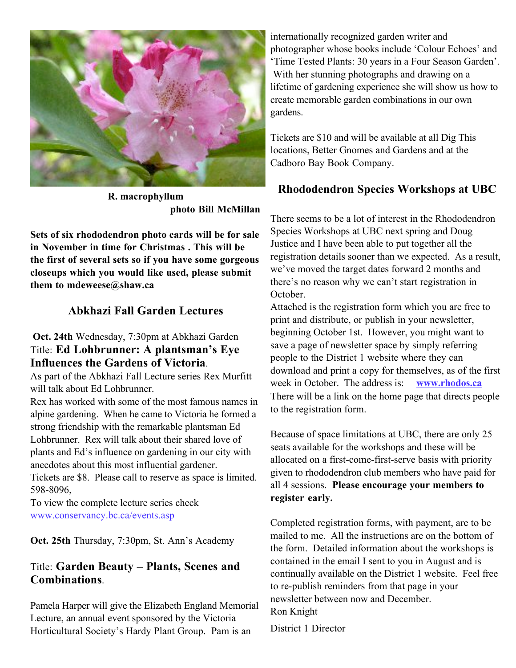

**R. macrophyllum photo Bill McMillan**

**Sets of six rhododendron photo cards will be for sale in November in time for Christmas . This will be the first of several sets so if you have some gorgeous closeups which you would like used, please submit them to mdeweese@shaw.ca**

#### **Abkhazi Fall Garden Lectures**

#### **Oct. 24th** Wednesday, 7:30pm at Abkhazi Garden Title: **Ed Lohbrunner: A plantsman's Eye Influences the Gardens of Victoria**.

As part of the Abkhazi Fall Lecture series Rex Murfitt will talk about Ed Lohbrunner.

Rex has worked with some of the most famous names in alpine gardening. When he came to Victoria he formed a strong friendship with the remarkable plantsman Ed Lohbrunner. Rex will talk about their shared love of plants and Ed's influence on gardening in our city with anecdotes about this most influential gardener.

Tickets are \$8. Please call to reserve as space is limited. 598-8096,

To view the complete lecture series check www.conservancy.bc.ca/events.asp

**Oct. 25th** Thursday, 7:30pm, St. Ann's Academy

### Title: **Garden Beauty – Plants, Scenes and Combinations**.

Pamela Harper will give the Elizabeth England Memorial Lecture, an annual event sponsored by the Victoria Horticultural Society's Hardy Plant Group. Pam is an

internationally recognized garden writer and photographer whose books include 'Colour Echoes' and 'Time Tested Plants: 30 years in a Four Season Garden'. With her stunning photographs and drawing on a lifetime of gardening experience she will show us how to create memorable garden combinations in our own gardens.

Tickets are \$10 and will be available at all Dig This locations, Better Gnomes and Gardens and at the Cadboro Bay Book Company.

### **Rhododendron Species Workshops at UBC**

There seems to be a lot of interest in the Rhododendron Species Workshops at UBC next spring and Doug Justice and I have been able to put together all the registration details sooner than we expected. As a result, we've moved the target dates forward 2 months and there's no reason why we can't start registration in October.

Attached is the registration form which you are free to print and distribute, or publish in your newsletter, beginning October 1st. However, you might want to save a page of newsletter space by simply referring people to the District 1 website where they can download and print a copy for themselves, as of the first week in October. The address is: **www.rhodos.ca** There will be a link on the home page that directs people to the registration form.

Because of space limitations at UBC, there are only 25 seats available for the workshops and these will be allocated on a first-come-first-serve basis with priority given to rhododendron club members who have paid for all 4 sessions. **Please encourage your members to register early.**

Completed registration forms, with payment, are to be mailed to me. All the instructions are on the bottom of the form. Detailed information about the workshops is contained in the email I sent to you in August and is continually available on the District 1 website. Feel free to re-publish reminders from that page in your newsletter between now and December. Ron Knight

District 1 Director